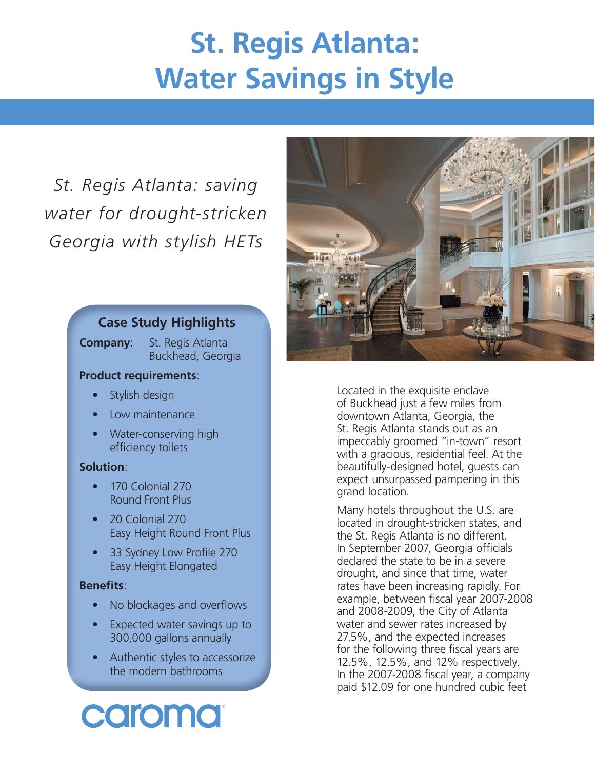# **St. Regis Atlanta: Water Savings in Style**

*St. Regis Atlanta: saving water for drought-stricken Georgia with stylish HETs*

## **Case Study Highlights**

**Company**: St. Regis Atlanta Buckhead, Georgia

## **Product requirements**:

- Stylish design
- Low maintenance
- Water-conserving high efficiency toilets

## **Solution**:

- 170 Colonial 270 Round Front Plus
- 20 Colonial 270 Easy Height Round Front Plus
- 33 Sydney Low Profile 270 Easy Height Elongated

## **Benefits:**

- No blockages and overflows
- Expected water savings up to 300,000 gallons annually
- Authentic styles to accessorize the modern bathrooms



Located in the exquisite enclave of Buckhead just a few miles from downtown Atlanta, Georgia, the St. Regis Atlanta stands out as an impeccably groomed "in-town" resort with a gracious, residential feel. At the beautifully-designed hotel, guests can expect unsurpassed pampering in this grand location.

Many hotels throughout the U.S. are located in drought-stricken states, and the St. Regis Atlanta is no different. In September 2007, Georgia officials declared the state to be in a severe drought, and since that time, water rates have been increasing rapidly. For example, between fiscal year 2007-2008 and 2008-2009, the City of Atlanta water and sewer rates increased by 27.5%, and the expected increases for the following three fiscal years are 12.5%, 12.5%, and 12% respectively. In the 2007-2008 fiscal year, a company paid \$12.09 for one hundred cubic feet

caroma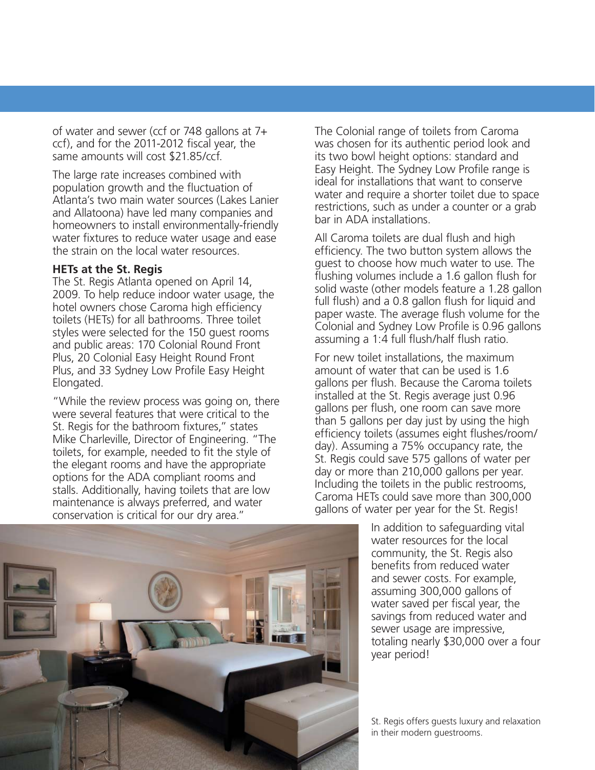of water and sewer (ccf or 748 gallons at 7+ ccf), and for the 2011-2012 fiscal year, the same amounts will cost \$21.85/ccf.

The large rate increases combined with population growth and the fluctuation of Atlanta's two main water sources (Lakes Lanier and Allatoona) have led many companies and homeowners to install environmentally-friendly water fixtures to reduce water usage and ease the strain on the local water resources.

## **HETs at the St. Regis**

The St. Regis Atlanta opened on April 14, 2009. To help reduce indoor water usage, the hotel owners chose Caroma high efficiency toilets (HETs) for all bathrooms. Three toilet styles were selected for the 150 guest rooms and public areas: 170 Colonial Round Front Plus, 20 Colonial Easy Height Round Front Plus, and 33 Sydney Low Profile Easy Height Elongated.

"While the review process was going on, there were several features that were critical to the St. Regis for the bathroom fixtures," states Mike Charleville, Director of Engineering. "The toilets, for example, needed to fit the style of the elegant rooms and have the appropriate options for the ADA compliant rooms and stalls. Additionally, having toilets that are low maintenance is always preferred, and water conservation is critical for our dry area."

The Colonial range of toilets from Caroma was chosen for its authentic period look and its two bowl height options: standard and Easy Height. The Sydney Low Profile range is ideal for installations that want to conserve water and require a shorter toilet due to space restrictions, such as under a counter or a grab bar in ADA installations.

All Caroma toilets are dual flush and high efficiency. The two button system allows the guest to choose how much water to use. The flushing volumes include a 1.6 gallon flush for solid waste (other models feature a 1.28 gallon full flush) and a 0.8 gallon flush for liquid and paper waste. The average flush volume for the Colonial and Sydney Low Profile is 0.96 gallons assuming a 1:4 full flush/half flush ratio.

For new toilet installations, the maximum amount of water that can be used is 1.6 gallons per flush. Because the Caroma toilets installed at the St. Regis average just 0.96 gallons per flush, one room can save more than 5 gallons per day just by using the high efficiency toilets (assumes eight flushes/room/ day). Assuming a 75% occupancy rate, the St. Regis could save 575 gallons of water per day or more than 210,000 gallons per year. Including the toilets in the public restrooms, Caroma HETs could save more than 300,000 gallons of water per year for the St. Regis!

> In addition to safeguarding vital water resources for the local community, the St. Regis also benefits from reduced water and sewer costs. For example, assuming 300,000 gallons of water saved per fiscal year, the savings from reduced water and sewer usage are impressive, totaling nearly \$30,000 over a four year period!

> St. Regis offers guests luxury and relaxation in their modern guestrooms.

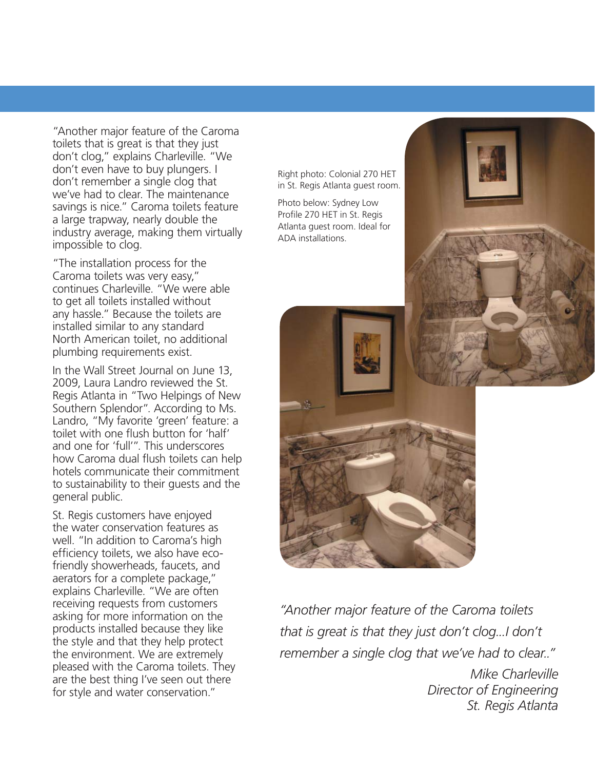"Another major feature of the Caroma toilets that is great is that they just don't clog," explains Charleville. "We don't even have to buy plungers. I don't remember a single clog that we've had to clear. The maintenance savings is nice." Caroma toilets feature a large trapway, nearly double the industry average, making them virtually impossible to clog.

"The installation process for the Caroma toilets was very easy," continues Charleville. "We were able to get all toilets installed without any hassle." Because the toilets are installed similar to any standard North American toilet, no additional plumbing requirements exist.

In the Wall Street Journal on June 13, 2009, Laura Landro reviewed the St. Regis Atlanta in "Two Helpings of New Southern Splendor". According to Ms. Landro, "My favorite 'green' feature: a toilet with one flush button for 'half' and one for 'full'". This underscores how Caroma dual flush toilets can help hotels communicate their commitment to sustainability to their guests and the general public.

St. Regis customers have enjoyed the water conservation features as well. "In addition to Caroma's high efficiency toilets, we also have ecofriendly showerheads, faucets, and aerators for a complete package," explains Charleville. "We are often receiving requests from customers asking for more information on the products installed because they like the style and that they help protect the environment. We are extremely pleased with the Caroma toilets. They are the best thing I've seen out there for style and water conservation."

Right photo: Colonial 270 HET in St. Regis Atlanta guest room.

Photo below: Sydney Low Profile 270 HET in St. Regis Atlanta guest room. Ideal for ADA installations.



*"Another major feature of the Caroma toilets that is great is that they just don't clog...I don't remember a single clog that we've had to clear.."*

> *Mike Charleville Director of Engineering St. Regis Atlanta*